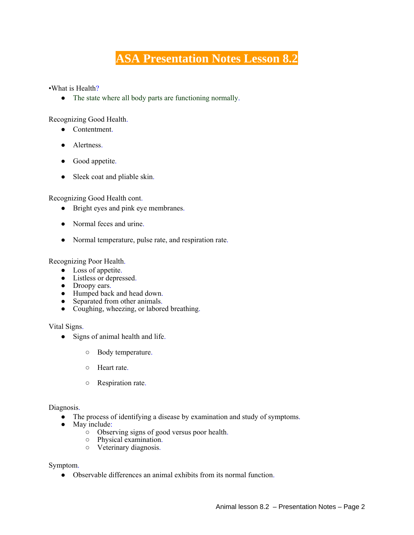# **ASA Presentation Notes Lesson 8.2**

•What is Health?

• The state where all body parts are functioning normally.

Recognizing Good Health.

- Contentment.
- Alertness.
- Good appetite.
- Sleek coat and pliable skin.

Recognizing Good Health cont.

- Bright eyes and pink eye membranes.
- Normal feces and urine.
- Normal temperature, pulse rate, and respiration rate.

Recognizing Poor Health.

- Loss of appetite.
- Listless or depressed.
- Droopy ears.
- Humped back and head down.
- Separated from other animals.
- Coughing, wheezing, or labored breathing.

Vital Signs.

- Signs of animal health and life.
	- Body temperature.
	- Heart rate.
	- Respiration rate.

Diagnosis.

- The process of identifying a disease by examination and study of symptoms.
- May include:
	- Observing signs of good versus poor health.
	- Physical examination.
	- Veterinary diagnosis.

Symptom.

● Observable differences an animal exhibits from its normal function.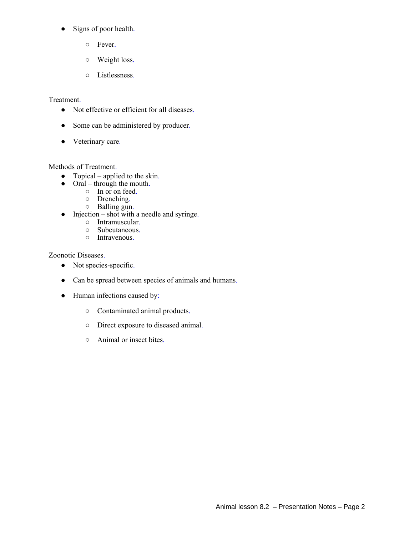- Signs of poor health.
	- Fever.
	- Weight loss.
	- Listlessness.

## Treatment.

- Not effective or efficient for all diseases.
- Some can be administered by producer.
- Veterinary care.

#### Methods of Treatment.

- Topical applied to the skin.
- $\bullet$  Oral through the mouth.
	- In or on feed.
	- Drenching.
	- Balling gun.
- Injection shot with a needle and syringe.
	- Intramuscular.
	- Subcutaneous.
	- Intravenous.

### Zoonotic Diseases.

- Not species-specific.
- Can be spread between species of animals and humans.
- Human infections caused by:
	- Contaminated animal products.
	- Direct exposure to diseased animal.
	- Animal or insect bites.